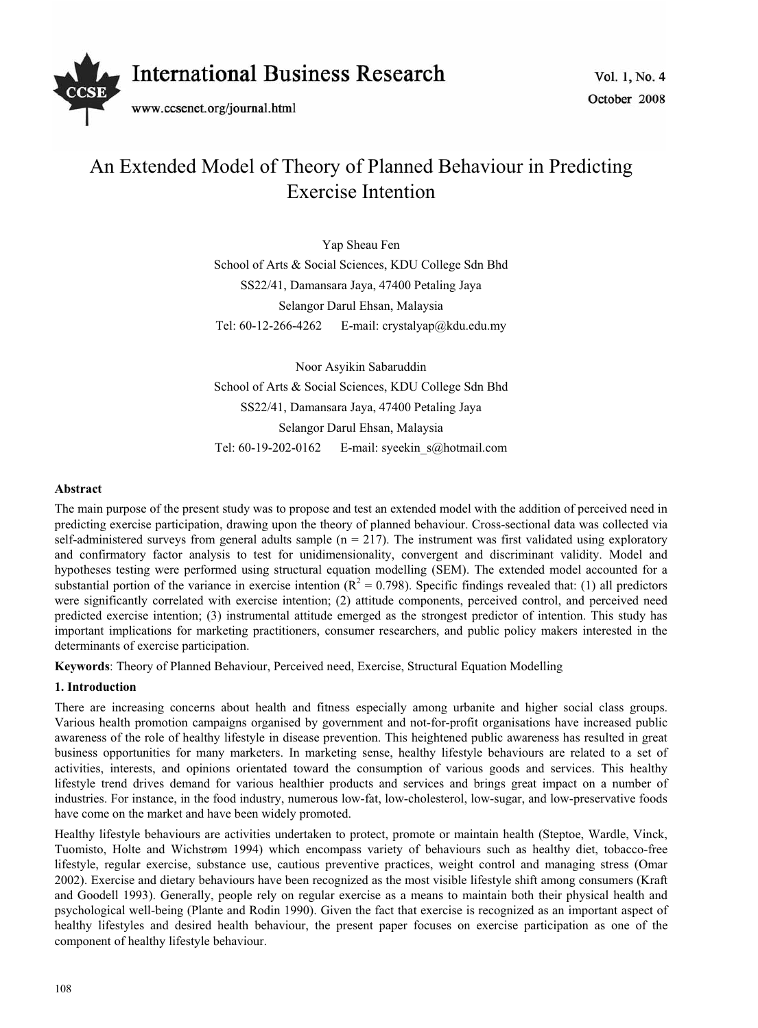

# An Extended Model of Theory of Planned Behaviour in Predicting Exercise Intention

Yap Sheau Fen School of Arts & Social Sciences, KDU College Sdn Bhd SS22/41, Damansara Jaya, 47400 Petaling Jaya Selangor Darul Ehsan, Malaysia Tel:  $60-12-266-4262$  E-mail: crystalyap@kdu.edu.my

Noor Asyikin Sabaruddin School of Arts & Social Sciences, KDU College Sdn Bhd SS22/41, Damansara Jaya, 47400 Petaling Jaya Selangor Darul Ehsan, Malaysia Tel: 60-19-202-0162 E-mail: syeekin s@hotmail.com

# **Abstract**

The main purpose of the present study was to propose and test an extended model with the addition of perceived need in predicting exercise participation, drawing upon the theory of planned behaviour. Cross-sectional data was collected via self-administered surveys from general adults sample  $(n = 217)$ . The instrument was first validated using exploratory and confirmatory factor analysis to test for unidimensionality, convergent and discriminant validity. Model and hypotheses testing were performed using structural equation modelling (SEM). The extended model accounted for a substantial portion of the variance in exercise intention ( $R^2 = 0.798$ ). Specific findings revealed that: (1) all predictors were significantly correlated with exercise intention; (2) attitude components, perceived control, and perceived need predicted exercise intention; (3) instrumental attitude emerged as the strongest predictor of intention. This study has important implications for marketing practitioners, consumer researchers, and public policy makers interested in the determinants of exercise participation.

**Keywords**: Theory of Planned Behaviour, Perceived need, Exercise, Structural Equation Modelling

# **1. Introduction**

There are increasing concerns about health and fitness especially among urbanite and higher social class groups. Various health promotion campaigns organised by government and not-for-profit organisations have increased public awareness of the role of healthy lifestyle in disease prevention. This heightened public awareness has resulted in great business opportunities for many marketers. In marketing sense, healthy lifestyle behaviours are related to a set of activities, interests, and opinions orientated toward the consumption of various goods and services. This healthy lifestyle trend drives demand for various healthier products and services and brings great impact on a number of industries. For instance, in the food industry, numerous low-fat, low-cholesterol, low-sugar, and low-preservative foods have come on the market and have been widely promoted.

Healthy lifestyle behaviours are activities undertaken to protect, promote or maintain health (Steptoe, Wardle, Vinck, Tuomisto, Holte and Wichstrøm 1994) which encompass variety of behaviours such as healthy diet, tobacco-free lifestyle, regular exercise, substance use, cautious preventive practices, weight control and managing stress (Omar 2002). Exercise and dietary behaviours have been recognized as the most visible lifestyle shift among consumers (Kraft and Goodell 1993). Generally, people rely on regular exercise as a means to maintain both their physical health and psychological well-being (Plante and Rodin 1990). Given the fact that exercise is recognized as an important aspect of healthy lifestyles and desired health behaviour, the present paper focuses on exercise participation as one of the component of healthy lifestyle behaviour.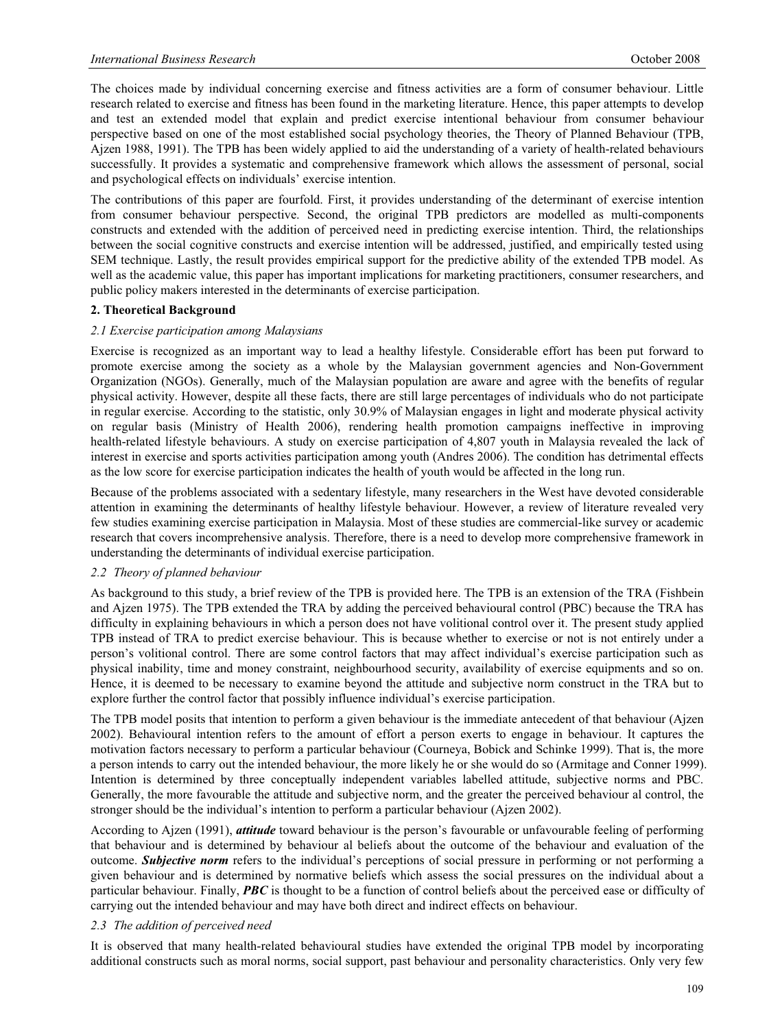The choices made by individual concerning exercise and fitness activities are a form of consumer behaviour. Little research related to exercise and fitness has been found in the marketing literature. Hence, this paper attempts to develop and test an extended model that explain and predict exercise intentional behaviour from consumer behaviour perspective based on one of the most established social psychology theories, the Theory of Planned Behaviour (TPB, Ajzen 1988, 1991). The TPB has been widely applied to aid the understanding of a variety of health-related behaviours successfully. It provides a systematic and comprehensive framework which allows the assessment of personal, social and psychological effects on individuals' exercise intention.

The contributions of this paper are fourfold. First, it provides understanding of the determinant of exercise intention from consumer behaviour perspective. Second, the original TPB predictors are modelled as multi-components constructs and extended with the addition of perceived need in predicting exercise intention. Third, the relationships between the social cognitive constructs and exercise intention will be addressed, justified, and empirically tested using SEM technique. Lastly, the result provides empirical support for the predictive ability of the extended TPB model. As well as the academic value, this paper has important implications for marketing practitioners, consumer researchers, and public policy makers interested in the determinants of exercise participation.

## **2. Theoretical Background**

## *2.1 Exercise participation among Malaysians*

Exercise is recognized as an important way to lead a healthy lifestyle. Considerable effort has been put forward to promote exercise among the society as a whole by the Malaysian government agencies and Non-Government Organization (NGOs). Generally, much of the Malaysian population are aware and agree with the benefits of regular physical activity. However, despite all these facts, there are still large percentages of individuals who do not participate in regular exercise. According to the statistic, only 30.9% of Malaysian engages in light and moderate physical activity on regular basis (Ministry of Health 2006), rendering health promotion campaigns ineffective in improving health-related lifestyle behaviours. A study on exercise participation of 4,807 youth in Malaysia revealed the lack of interest in exercise and sports activities participation among youth (Andres 2006). The condition has detrimental effects as the low score for exercise participation indicates the health of youth would be affected in the long run.

Because of the problems associated with a sedentary lifestyle, many researchers in the West have devoted considerable attention in examining the determinants of healthy lifestyle behaviour. However, a review of literature revealed very few studies examining exercise participation in Malaysia. Most of these studies are commercial-like survey or academic research that covers incomprehensive analysis. Therefore, there is a need to develop more comprehensive framework in understanding the determinants of individual exercise participation.

## *2.2 Theory of planned behaviour*

As background to this study, a brief review of the TPB is provided here. The TPB is an extension of the TRA (Fishbein and Ajzen 1975). The TPB extended the TRA by adding the perceived behavioural control (PBC) because the TRA has difficulty in explaining behaviours in which a person does not have volitional control over it. The present study applied TPB instead of TRA to predict exercise behaviour. This is because whether to exercise or not is not entirely under a person's volitional control. There are some control factors that may affect individual's exercise participation such as physical inability, time and money constraint, neighbourhood security, availability of exercise equipments and so on. Hence, it is deemed to be necessary to examine beyond the attitude and subjective norm construct in the TRA but to explore further the control factor that possibly influence individual's exercise participation.

The TPB model posits that intention to perform a given behaviour is the immediate antecedent of that behaviour (Ajzen 2002). Behavioural intention refers to the amount of effort a person exerts to engage in behaviour. It captures the motivation factors necessary to perform a particular behaviour (Courneya, Bobick and Schinke 1999). That is, the more a person intends to carry out the intended behaviour, the more likely he or she would do so (Armitage and Conner 1999). Intention is determined by three conceptually independent variables labelled attitude, subjective norms and PBC. Generally, the more favourable the attitude and subjective norm, and the greater the perceived behaviour al control, the stronger should be the individual's intention to perform a particular behaviour (Ajzen 2002).

According to Ajzen (1991), *attitude* toward behaviour is the person's favourable or unfavourable feeling of performing that behaviour and is determined by behaviour al beliefs about the outcome of the behaviour and evaluation of the outcome. *Subjective norm* refers to the individual's perceptions of social pressure in performing or not performing a given behaviour and is determined by normative beliefs which assess the social pressures on the individual about a particular behaviour. Finally, *PBC* is thought to be a function of control beliefs about the perceived ease or difficulty of carrying out the intended behaviour and may have both direct and indirect effects on behaviour.

# *2.3 The addition of perceived need*

It is observed that many health-related behavioural studies have extended the original TPB model by incorporating additional constructs such as moral norms, social support, past behaviour and personality characteristics. Only very few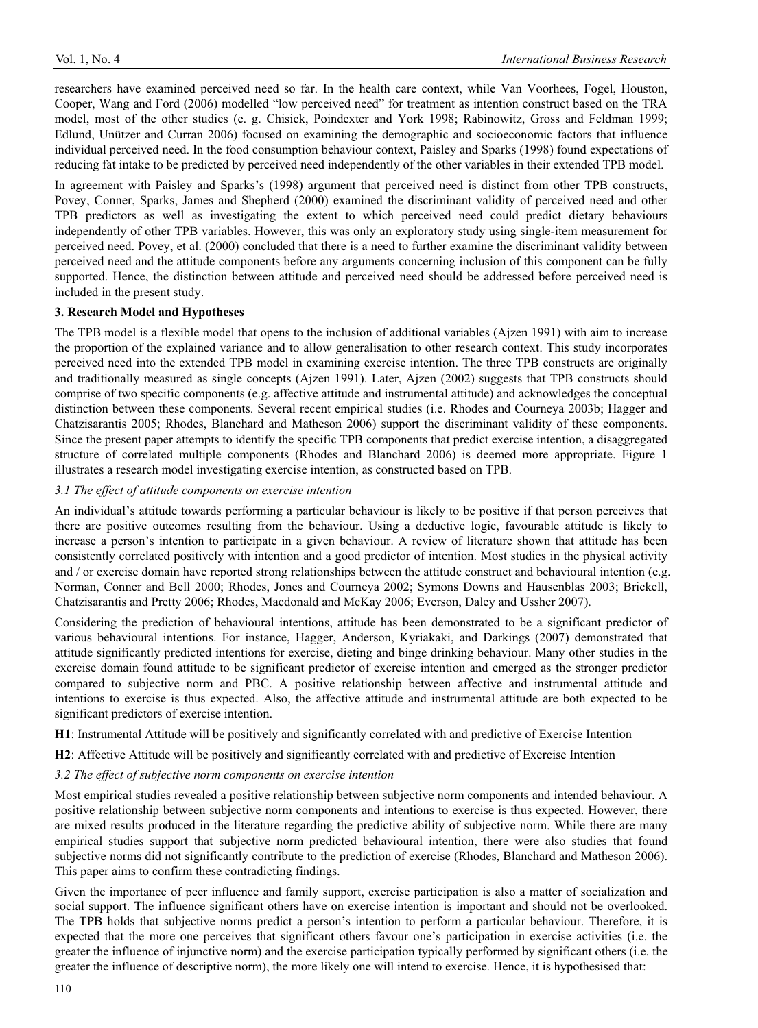researchers have examined perceived need so far. In the health care context, while Van Voorhees, Fogel, Houston, Cooper, Wang and Ford (2006) modelled "low perceived need" for treatment as intention construct based on the TRA model, most of the other studies (e. g. Chisick, Poindexter and York 1998; Rabinowitz, Gross and Feldman 1999; Edlund, Unützer and Curran 2006) focused on examining the demographic and socioeconomic factors that influence individual perceived need. In the food consumption behaviour context, Paisley and Sparks (1998) found expectations of reducing fat intake to be predicted by perceived need independently of the other variables in their extended TPB model.

In agreement with Paisley and Sparks's (1998) argument that perceived need is distinct from other TPB constructs, Povey, Conner, Sparks, James and Shepherd (2000) examined the discriminant validity of perceived need and other TPB predictors as well as investigating the extent to which perceived need could predict dietary behaviours independently of other TPB variables. However, this was only an exploratory study using single-item measurement for perceived need. Povey, et al. (2000) concluded that there is a need to further examine the discriminant validity between perceived need and the attitude components before any arguments concerning inclusion of this component can be fully supported. Hence, the distinction between attitude and perceived need should be addressed before perceived need is included in the present study.

# **3. Research Model and Hypotheses**

The TPB model is a flexible model that opens to the inclusion of additional variables (Ajzen 1991) with aim to increase the proportion of the explained variance and to allow generalisation to other research context. This study incorporates perceived need into the extended TPB model in examining exercise intention. The three TPB constructs are originally and traditionally measured as single concepts (Ajzen 1991). Later, Ajzen (2002) suggests that TPB constructs should comprise of two specific components (e.g. affective attitude and instrumental attitude) and acknowledges the conceptual distinction between these components. Several recent empirical studies (i.e. Rhodes and Courneya 2003b; Hagger and Chatzisarantis 2005; Rhodes, Blanchard and Matheson 2006) support the discriminant validity of these components. Since the present paper attempts to identify the specific TPB components that predict exercise intention, a disaggregated structure of correlated multiple components (Rhodes and Blanchard 2006) is deemed more appropriate. Figure 1 illustrates a research model investigating exercise intention, as constructed based on TPB.

# *3.1 The effect of attitude components on exercise intention*

An individual's attitude towards performing a particular behaviour is likely to be positive if that person perceives that there are positive outcomes resulting from the behaviour. Using a deductive logic, favourable attitude is likely to increase a person's intention to participate in a given behaviour. A review of literature shown that attitude has been consistently correlated positively with intention and a good predictor of intention. Most studies in the physical activity and / or exercise domain have reported strong relationships between the attitude construct and behavioural intention (e.g. Norman, Conner and Bell 2000; Rhodes, Jones and Courneya 2002; Symons Downs and Hausenblas 2003; Brickell, Chatzisarantis and Pretty 2006; Rhodes, Macdonald and McKay 2006; Everson, Daley and Ussher 2007).

Considering the prediction of behavioural intentions, attitude has been demonstrated to be a significant predictor of various behavioural intentions. For instance, Hagger, Anderson, Kyriakaki, and Darkings (2007) demonstrated that attitude significantly predicted intentions for exercise, dieting and binge drinking behaviour. Many other studies in the exercise domain found attitude to be significant predictor of exercise intention and emerged as the stronger predictor compared to subjective norm and PBC. A positive relationship between affective and instrumental attitude and intentions to exercise is thus expected. Also, the affective attitude and instrumental attitude are both expected to be significant predictors of exercise intention.

**H1**: Instrumental Attitude will be positively and significantly correlated with and predictive of Exercise Intention

**H2**: Affective Attitude will be positively and significantly correlated with and predictive of Exercise Intention

## *3.2 The effect of subjective norm components on exercise intention*

Most empirical studies revealed a positive relationship between subjective norm components and intended behaviour. A positive relationship between subjective norm components and intentions to exercise is thus expected. However, there are mixed results produced in the literature regarding the predictive ability of subjective norm. While there are many empirical studies support that subjective norm predicted behavioural intention, there were also studies that found subjective norms did not significantly contribute to the prediction of exercise (Rhodes, Blanchard and Matheson 2006). This paper aims to confirm these contradicting findings.

Given the importance of peer influence and family support, exercise participation is also a matter of socialization and social support. The influence significant others have on exercise intention is important and should not be overlooked. The TPB holds that subjective norms predict a person's intention to perform a particular behaviour. Therefore, it is expected that the more one perceives that significant others favour one's participation in exercise activities (i.e. the greater the influence of injunctive norm) and the exercise participation typically performed by significant others (i.e. the greater the influence of descriptive norm), the more likely one will intend to exercise. Hence, it is hypothesised that: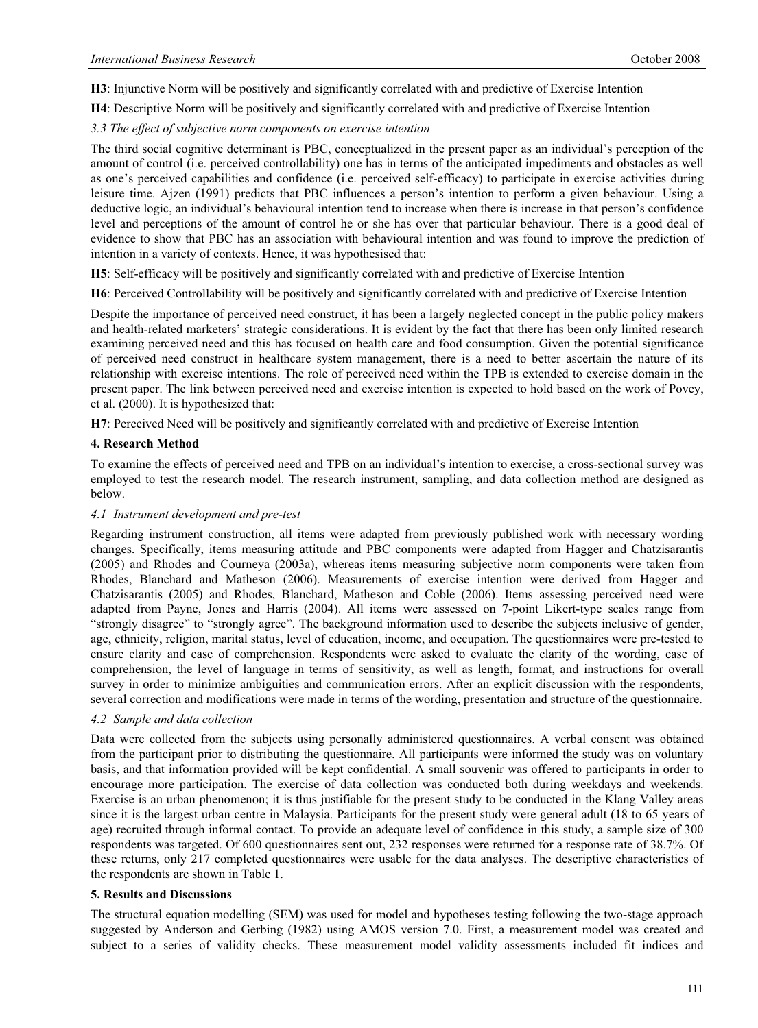**H3**: Injunctive Norm will be positively and significantly correlated with and predictive of Exercise Intention

**H4**: Descriptive Norm will be positively and significantly correlated with and predictive of Exercise Intention

# *3.3 The effect of subjective norm components on exercise intention*

The third social cognitive determinant is PBC, conceptualized in the present paper as an individual's perception of the amount of control (i.e. perceived controllability) one has in terms of the anticipated impediments and obstacles as well as one's perceived capabilities and confidence (i.e. perceived self-efficacy) to participate in exercise activities during leisure time. Ajzen (1991) predicts that PBC influences a person's intention to perform a given behaviour. Using a deductive logic, an individual's behavioural intention tend to increase when there is increase in that person's confidence level and perceptions of the amount of control he or she has over that particular behaviour. There is a good deal of evidence to show that PBC has an association with behavioural intention and was found to improve the prediction of intention in a variety of contexts. Hence, it was hypothesised that:

**H5**: Self-efficacy will be positively and significantly correlated with and predictive of Exercise Intention

**H6**: Perceived Controllability will be positively and significantly correlated with and predictive of Exercise Intention

Despite the importance of perceived need construct, it has been a largely neglected concept in the public policy makers and health-related marketers' strategic considerations. It is evident by the fact that there has been only limited research examining perceived need and this has focused on health care and food consumption. Given the potential significance of perceived need construct in healthcare system management, there is a need to better ascertain the nature of its relationship with exercise intentions. The role of perceived need within the TPB is extended to exercise domain in the present paper. The link between perceived need and exercise intention is expected to hold based on the work of Povey, et al. (2000). It is hypothesized that:

**H7**: Perceived Need will be positively and significantly correlated with and predictive of Exercise Intention

# **4. Research Method**

To examine the effects of perceived need and TPB on an individual's intention to exercise, a cross-sectional survey was employed to test the research model. The research instrument, sampling, and data collection method are designed as below.

## *4.1 Instrument development and pre-test*

Regarding instrument construction, all items were adapted from previously published work with necessary wording changes. Specifically, items measuring attitude and PBC components were adapted from Hagger and Chatzisarantis (2005) and Rhodes and Courneya (2003a), whereas items measuring subjective norm components were taken from Rhodes, Blanchard and Matheson (2006). Measurements of exercise intention were derived from Hagger and Chatzisarantis (2005) and Rhodes, Blanchard, Matheson and Coble (2006). Items assessing perceived need were adapted from Payne, Jones and Harris (2004). All items were assessed on 7-point Likert-type scales range from "strongly disagree" to "strongly agree". The background information used to describe the subjects inclusive of gender, age, ethnicity, religion, marital status, level of education, income, and occupation. The questionnaires were pre-tested to ensure clarity and ease of comprehension. Respondents were asked to evaluate the clarity of the wording, ease of comprehension, the level of language in terms of sensitivity, as well as length, format, and instructions for overall survey in order to minimize ambiguities and communication errors. After an explicit discussion with the respondents, several correction and modifications were made in terms of the wording, presentation and structure of the questionnaire.

## *4.2 Sample and data collection*

Data were collected from the subjects using personally administered questionnaires. A verbal consent was obtained from the participant prior to distributing the questionnaire. All participants were informed the study was on voluntary basis, and that information provided will be kept confidential. A small souvenir was offered to participants in order to encourage more participation. The exercise of data collection was conducted both during weekdays and weekends. Exercise is an urban phenomenon; it is thus justifiable for the present study to be conducted in the Klang Valley areas since it is the largest urban centre in Malaysia. Participants for the present study were general adult (18 to 65 years of age) recruited through informal contact. To provide an adequate level of confidence in this study, a sample size of 300 respondents was targeted. Of 600 questionnaires sent out, 232 responses were returned for a response rate of 38.7%. Of these returns, only 217 completed questionnaires were usable for the data analyses. The descriptive characteristics of the respondents are shown in Table 1.

## **5. Results and Discussions**

The structural equation modelling (SEM) was used for model and hypotheses testing following the two-stage approach suggested by Anderson and Gerbing (1982) using AMOS version 7.0. First, a measurement model was created and subject to a series of validity checks. These measurement model validity assessments included fit indices and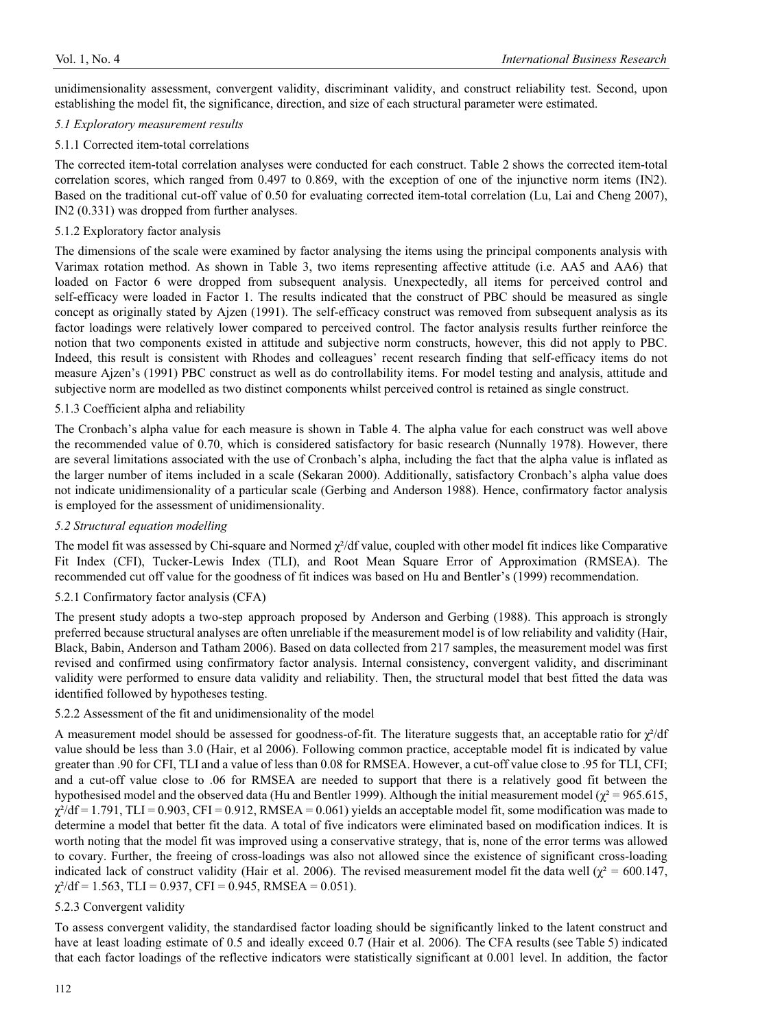unidimensionality assessment, convergent validity, discriminant validity, and construct reliability test. Second, upon establishing the model fit, the significance, direction, and size of each structural parameter were estimated.

# *5.1 Exploratory measurement results*

# 5.1.1 Corrected item-total correlations

The corrected item-total correlation analyses were conducted for each construct. Table 2 shows the corrected item-total correlation scores, which ranged from 0.497 to 0.869, with the exception of one of the injunctive norm items (IN2). Based on the traditional cut-off value of 0.50 for evaluating corrected item-total correlation (Lu, Lai and Cheng 2007), IN2 (0.331) was dropped from further analyses.

# 5.1.2 Exploratory factor analysis

The dimensions of the scale were examined by factor analysing the items using the principal components analysis with Varimax rotation method. As shown in Table 3, two items representing affective attitude (i.e. AA5 and AA6) that loaded on Factor 6 were dropped from subsequent analysis. Unexpectedly, all items for perceived control and self-efficacy were loaded in Factor 1. The results indicated that the construct of PBC should be measured as single concept as originally stated by Ajzen (1991). The self-efficacy construct was removed from subsequent analysis as its factor loadings were relatively lower compared to perceived control. The factor analysis results further reinforce the notion that two components existed in attitude and subjective norm constructs, however, this did not apply to PBC. Indeed, this result is consistent with Rhodes and colleagues' recent research finding that self-efficacy items do not measure Ajzen's (1991) PBC construct as well as do controllability items. For model testing and analysis, attitude and subjective norm are modelled as two distinct components whilst perceived control is retained as single construct.

# 5.1.3 Coefficient alpha and reliability

The Cronbach's alpha value for each measure is shown in Table 4. The alpha value for each construct was well above the recommended value of 0.70, which is considered satisfactory for basic research (Nunnally 1978). However, there are several limitations associated with the use of Cronbach's alpha, including the fact that the alpha value is inflated as the larger number of items included in a scale (Sekaran 2000). Additionally, satisfactory Cronbach's alpha value does not indicate unidimensionality of a particular scale (Gerbing and Anderson 1988). Hence, confirmatory factor analysis is employed for the assessment of unidimensionality.

# *5.2 Structural equation modelling*

The model fit was assessed by Chi-square and Normed  $\chi^2$ /df value, coupled with other model fit indices like Comparative Fit Index (CFI), Tucker-Lewis Index (TLI), and Root Mean Square Error of Approximation (RMSEA). The recommended cut off value for the goodness of fit indices was based on Hu and Bentler's (1999) recommendation.

# 5.2.1 Confirmatory factor analysis (CFA)

The present study adopts a two-step approach proposed by Anderson and Gerbing (1988). This approach is strongly preferred because structural analyses are often unreliable if the measurement model is of low reliability and validity (Hair, Black, Babin, Anderson and Tatham 2006). Based on data collected from 217 samples, the measurement model was first revised and confirmed using confirmatory factor analysis. Internal consistency, convergent validity, and discriminant validity were performed to ensure data validity and reliability. Then, the structural model that best fitted the data was identified followed by hypotheses testing.

## 5.2.2 Assessment of the fit and unidimensionality of the model

A measurement model should be assessed for goodness-of-fit. The literature suggests that, an acceptable ratio for  $\chi^2/df$ value should be less than 3.0 (Hair, et al 2006). Following common practice, acceptable model fit is indicated by value greater than .90 for CFI, TLI and a value of less than 0.08 for RMSEA. However, a cut-off value close to .95 for TLI, CFI; and a cut-off value close to .06 for RMSEA are needed to support that there is a relatively good fit between the hypothesised model and the observed data (Hu and Bentler 1999). Although the initial measurement model ( $\chi^2$  = 965.615,  $\chi^2/df = 1.791$ , TLI = 0.903, CFI = 0.912, RMSEA = 0.061) yields an acceptable model fit, some modification was made to determine a model that better fit the data. A total of five indicators were eliminated based on modification indices. It is worth noting that the model fit was improved using a conservative strategy, that is, none of the error terms was allowed to covary. Further, the freeing of cross-loadings was also not allowed since the existence of significant cross-loading indicated lack of construct validity (Hair et al. 2006). The revised measurement model fit the data well ( $\chi^2$  = 600.147,  $\chi^2$ /df = 1.563, TLI = 0.937, CFI = 0.945, RMSEA = 0.051).

## 5.2.3 Convergent validity

To assess convergent validity, the standardised factor loading should be significantly linked to the latent construct and have at least loading estimate of 0.5 and ideally exceed 0.7 (Hair et al. 2006). The CFA results (see Table 5) indicated that each factor loadings of the reflective indicators were statistically significant at 0.001 level. In addition, the factor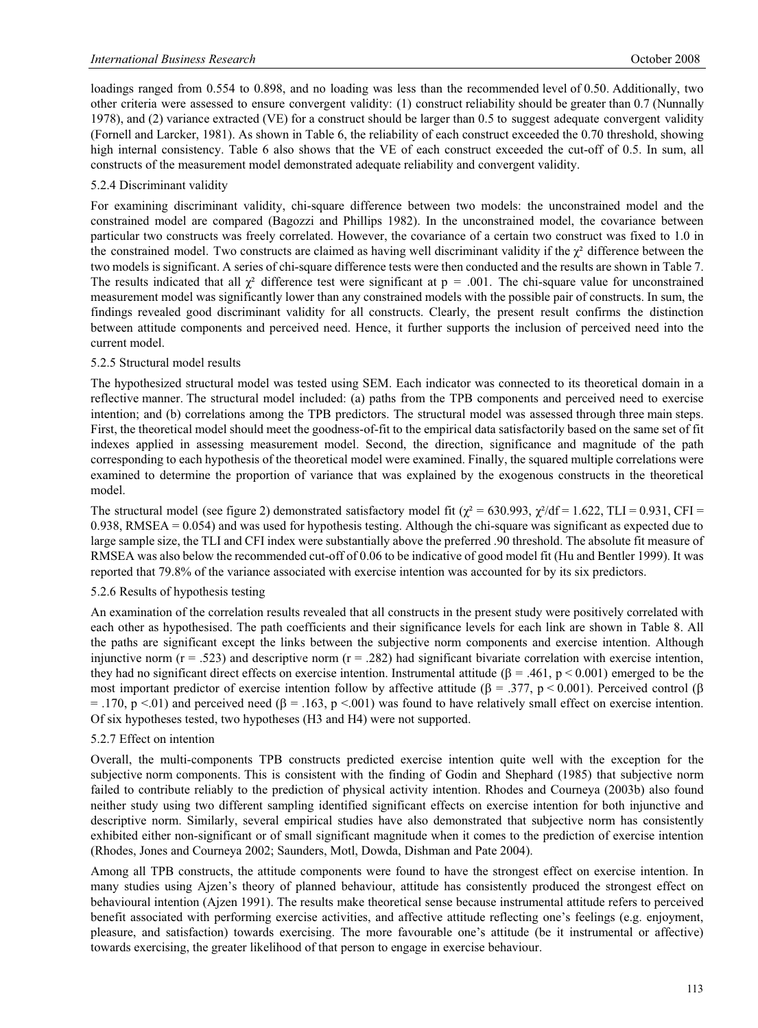loadings ranged from 0.554 to 0.898, and no loading was less than the recommended level of 0.50. Additionally, two other criteria were assessed to ensure convergent validity: (1) construct reliability should be greater than 0.7 (Nunnally 1978), and (2) variance extracted (VE) for a construct should be larger than 0.5 to suggest adequate convergent validity (Fornell and Larcker, 1981). As shown in Table 6, the reliability of each construct exceeded the 0.70 threshold, showing high internal consistency. Table 6 also shows that the VE of each construct exceeded the cut-off of 0.5. In sum, all constructs of the measurement model demonstrated adequate reliability and convergent validity.

# 5.2.4 Discriminant validity

For examining discriminant validity, chi-square difference between two models: the unconstrained model and the constrained model are compared (Bagozzi and Phillips 1982). In the unconstrained model, the covariance between particular two constructs was freely correlated. However, the covariance of a certain two construct was fixed to 1.0 in the constrained model. Two constructs are claimed as having well discriminant validity if the  $\chi^2$  difference between the two models is significant. A series of chi-square difference tests were then conducted and the results are shown in Table 7. The results indicated that all  $\chi^2$  difference test were significant at p = .001. The chi-square value for unconstrained measurement model was significantly lower than any constrained models with the possible pair of constructs. In sum, the findings revealed good discriminant validity for all constructs. Clearly, the present result confirms the distinction between attitude components and perceived need. Hence, it further supports the inclusion of perceived need into the current model.

## 5.2.5 Structural model results

The hypothesized structural model was tested using SEM. Each indicator was connected to its theoretical domain in a reflective manner. The structural model included: (a) paths from the TPB components and perceived need to exercise intention; and (b) correlations among the TPB predictors. The structural model was assessed through three main steps. First, the theoretical model should meet the goodness-of-fit to the empirical data satisfactorily based on the same set of fit indexes applied in assessing measurement model. Second, the direction, significance and magnitude of the path corresponding to each hypothesis of the theoretical model were examined. Finally, the squared multiple correlations were examined to determine the proportion of variance that was explained by the exogenous constructs in the theoretical model.

The structural model (see figure 2) demonstrated satisfactory model fit ( $\chi^2$  = 630.993,  $\chi^2$ /df = 1.622, TLI = 0.931, CFI = 0.938, RMSEA = 0.054) and was used for hypothesis testing. Although the chi-square was significant as expected due to large sample size, the TLI and CFI index were substantially above the preferred .90 threshold. The absolute fit measure of RMSEA was also below the recommended cut-off of 0.06 to be indicative of good model fit (Hu and Bentler 1999). It was reported that 79.8% of the variance associated with exercise intention was accounted for by its six predictors.

## 5.2.6 Results of hypothesis testing

An examination of the correlation results revealed that all constructs in the present study were positively correlated with each other as hypothesised. The path coefficients and their significance levels for each link are shown in Table 8. All the paths are significant except the links between the subjective norm components and exercise intention. Although injunctive norm  $(r = .523)$  and descriptive norm  $(r = .282)$  had significant bivariate correlation with exercise intention, they had no significant direct effects on exercise intention. Instrumental attitude  $(\beta = .461, p < 0.001)$  emerged to be the most important predictor of exercise intention follow by affective attitude ( $\beta = .377$ ,  $p \le 0.001$ ). Perceived control ( $\beta$ )  $= .170$ , p <.01) and perceived need ( $\beta = .163$ , p <.001) was found to have relatively small effect on exercise intention. Of six hypotheses tested, two hypotheses (H3 and H4) were not supported.

## 5.2.7 Effect on intention

Overall, the multi-components TPB constructs predicted exercise intention quite well with the exception for the subjective norm components. This is consistent with the finding of Godin and Shephard (1985) that subjective norm failed to contribute reliably to the prediction of physical activity intention. Rhodes and Courneya (2003b) also found neither study using two different sampling identified significant effects on exercise intention for both injunctive and descriptive norm. Similarly, several empirical studies have also demonstrated that subjective norm has consistently exhibited either non-significant or of small significant magnitude when it comes to the prediction of exercise intention (Rhodes, Jones and Courneya 2002; Saunders, Motl, Dowda, Dishman and Pate 2004).

Among all TPB constructs, the attitude components were found to have the strongest effect on exercise intention. In many studies using Ajzen's theory of planned behaviour, attitude has consistently produced the strongest effect on behavioural intention (Ajzen 1991). The results make theoretical sense because instrumental attitude refers to perceived benefit associated with performing exercise activities, and affective attitude reflecting one's feelings (e.g. enjoyment, pleasure, and satisfaction) towards exercising. The more favourable one's attitude (be it instrumental or affective) towards exercising, the greater likelihood of that person to engage in exercise behaviour.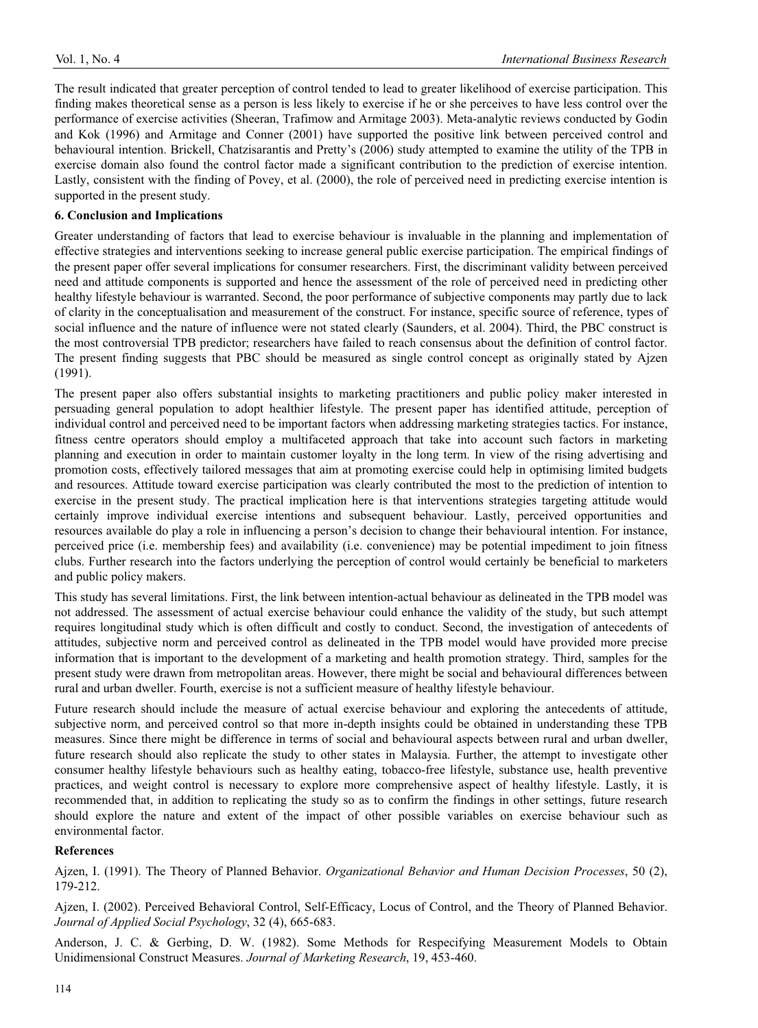The result indicated that greater perception of control tended to lead to greater likelihood of exercise participation. This finding makes theoretical sense as a person is less likely to exercise if he or she perceives to have less control over the performance of exercise activities (Sheeran, Trafimow and Armitage 2003). Meta-analytic reviews conducted by Godin and Kok (1996) and Armitage and Conner (2001) have supported the positive link between perceived control and behavioural intention. Brickell, Chatzisarantis and Pretty's (2006) study attempted to examine the utility of the TPB in exercise domain also found the control factor made a significant contribution to the prediction of exercise intention. Lastly, consistent with the finding of Povey, et al. (2000), the role of perceived need in predicting exercise intention is supported in the present study.

# **6. Conclusion and Implications**

Greater understanding of factors that lead to exercise behaviour is invaluable in the planning and implementation of effective strategies and interventions seeking to increase general public exercise participation. The empirical findings of the present paper offer several implications for consumer researchers. First, the discriminant validity between perceived need and attitude components is supported and hence the assessment of the role of perceived need in predicting other healthy lifestyle behaviour is warranted. Second, the poor performance of subjective components may partly due to lack of clarity in the conceptualisation and measurement of the construct. For instance, specific source of reference, types of social influence and the nature of influence were not stated clearly (Saunders, et al. 2004). Third, the PBC construct is the most controversial TPB predictor; researchers have failed to reach consensus about the definition of control factor. The present finding suggests that PBC should be measured as single control concept as originally stated by Ajzen (1991).

The present paper also offers substantial insights to marketing practitioners and public policy maker interested in persuading general population to adopt healthier lifestyle. The present paper has identified attitude, perception of individual control and perceived need to be important factors when addressing marketing strategies tactics. For instance, fitness centre operators should employ a multifaceted approach that take into account such factors in marketing planning and execution in order to maintain customer loyalty in the long term. In view of the rising advertising and promotion costs, effectively tailored messages that aim at promoting exercise could help in optimising limited budgets and resources. Attitude toward exercise participation was clearly contributed the most to the prediction of intention to exercise in the present study. The practical implication here is that interventions strategies targeting attitude would certainly improve individual exercise intentions and subsequent behaviour. Lastly, perceived opportunities and resources available do play a role in influencing a person's decision to change their behavioural intention. For instance, perceived price (i.e. membership fees) and availability (i.e. convenience) may be potential impediment to join fitness clubs. Further research into the factors underlying the perception of control would certainly be beneficial to marketers and public policy makers.

This study has several limitations. First, the link between intention-actual behaviour as delineated in the TPB model was not addressed. The assessment of actual exercise behaviour could enhance the validity of the study, but such attempt requires longitudinal study which is often difficult and costly to conduct. Second, the investigation of antecedents of attitudes, subjective norm and perceived control as delineated in the TPB model would have provided more precise information that is important to the development of a marketing and health promotion strategy. Third, samples for the present study were drawn from metropolitan areas. However, there might be social and behavioural differences between rural and urban dweller. Fourth, exercise is not a sufficient measure of healthy lifestyle behaviour.

Future research should include the measure of actual exercise behaviour and exploring the antecedents of attitude, subjective norm, and perceived control so that more in-depth insights could be obtained in understanding these TPB measures. Since there might be difference in terms of social and behavioural aspects between rural and urban dweller, future research should also replicate the study to other states in Malaysia. Further, the attempt to investigate other consumer healthy lifestyle behaviours such as healthy eating, tobacco-free lifestyle, substance use, health preventive practices, and weight control is necessary to explore more comprehensive aspect of healthy lifestyle. Lastly, it is recommended that, in addition to replicating the study so as to confirm the findings in other settings, future research should explore the nature and extent of the impact of other possible variables on exercise behaviour such as environmental factor.

## **References**

Ajzen, I. (1991). The Theory of Planned Behavior. *Organizational Behavior and Human Decision Processes*, 50 (2), 179-212.

Ajzen, I. (2002). Perceived Behavioral Control, Self-Efficacy, Locus of Control, and the Theory of Planned Behavior. *Journal of Applied Social Psychology*, 32 (4), 665-683.

Anderson, J. C. & Gerbing, D. W. (1982). Some Methods for Respecifying Measurement Models to Obtain Unidimensional Construct Measures. *Journal of Marketing Research*, 19, 453-460.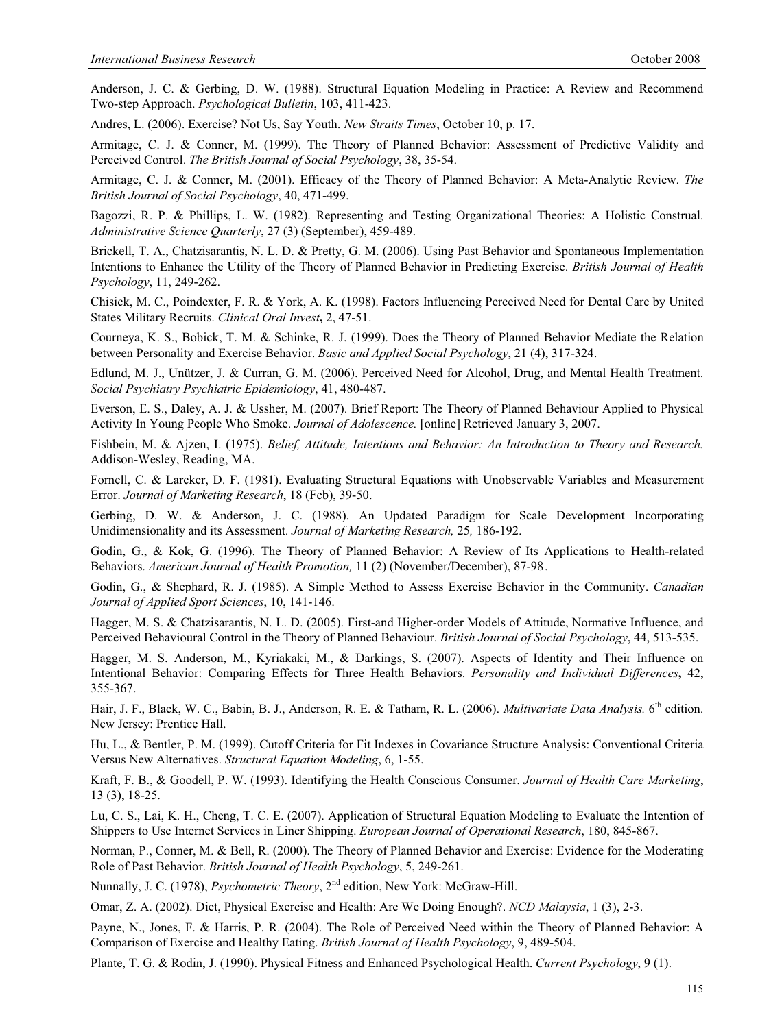Anderson, J. C. & Gerbing, D. W. (1988). Structural Equation Modeling in Practice: A Review and Recommend Two-step Approach. *Psychological Bulletin*, 103, 411-423.

Andres, L. (2006). Exercise? Not Us, Say Youth. *New Straits Times*, October 10, p. 17.

Armitage, C. J. & Conner, M. (1999). The Theory of Planned Behavior: Assessment of Predictive Validity and Perceived Control. *The British Journal of Social Psychology*, 38, 35-54.

Armitage, C. J. & Conner, M. (2001). Efficacy of the Theory of Planned Behavior: A Meta-Analytic Review. *The British Journal of Social Psychology*, 40, 471-499.

Bagozzi, R. P. & Phillips, L. W. (1982). Representing and Testing Organizational Theories: A Holistic Construal. *Administrative Science Quarterly*, 27 (3) (September), 459-489.

Brickell, T. A., Chatzisarantis, N. L. D. & Pretty, G. M. (2006). Using Past Behavior and Spontaneous Implementation Intentions to Enhance the Utility of the Theory of Planned Behavior in Predicting Exercise. *British Journal of Health Psychology*, 11, 249-262.

Chisick, M. C., Poindexter, F. R. & York, A. K. (1998). Factors Influencing Perceived Need for Dental Care by United States Military Recruits. *Clinical Oral Invest***,** 2, 47-51.

Courneya, K. S., Bobick, T. M. & Schinke, R. J. (1999). Does the Theory of Planned Behavior Mediate the Relation between Personality and Exercise Behavior. *Basic and Applied Social Psychology*, 21 (4), 317-324.

Edlund, M. J., Unützer, J. & Curran, G. M. (2006). Perceived Need for Alcohol, Drug, and Mental Health Treatment. *Social Psychiatry Psychiatric Epidemiology*, 41, 480-487.

Everson, E. S., Daley, A. J. & Ussher, M. (2007). Brief Report: The Theory of Planned Behaviour Applied to Physical Activity In Young People Who Smoke. *Journal of Adolescence.* [online] Retrieved January 3, 2007.

Fishbein, M. & Ajzen, I. (1975). *Belief, Attitude, Intentions and Behavior: An Introduction to Theory and Research.*  Addison-Wesley, Reading, MA.

Fornell, C. & Larcker, D. F. (1981). Evaluating Structural Equations with Unobservable Variables and Measurement Error. *Journal of Marketing Research*, 18 (Feb), 39-50.

Gerbing, D. W. & Anderson, J. C. (1988). An Updated Paradigm for Scale Development Incorporating Unidimensionality and its Assessment. *Journal of Marketing Research,* 25*,* 186-192.

Godin, G., & Kok, G. (1996). The Theory of Planned Behavior: A Review of Its Applications to Health-related Behaviors. *American Journal of Health Promotion,* 11 (2) (November/December), 87-98 .

Godin, G., & Shephard, R. J. (1985). A Simple Method to Assess Exercise Behavior in the Community. *Canadian Journal of Applied Sport Sciences*, 10, 141-146.

Hagger, M. S. & Chatzisarantis, N. L. D. (2005). First-and Higher-order Models of Attitude, Normative Influence, and Perceived Behavioural Control in the Theory of Planned Behaviour. *British Journal of Social Psychology*, 44, 513-535.

Hagger, M. S. Anderson, M., Kyriakaki, M., & Darkings, S. (2007). Aspects of Identity and Their Influence on Intentional Behavior: Comparing Effects for Three Health Behaviors. *Personality and Individual Differences***,** 42, 355-367.

Hair, J. F., Black, W. C., Babin, B. J., Anderson, R. E. & Tatham, R. L. (2006). *Multivariate Data Analysis*. 6<sup>th</sup> edition. New Jersey: Prentice Hall.

Hu, L., & Bentler, P. M. (1999). Cutoff Criteria for Fit Indexes in Covariance Structure Analysis: Conventional Criteria Versus New Alternatives. *Structural Equation Modeling*, 6, 1-55.

Kraft, F. B., & Goodell, P. W. (1993). Identifying the Health Conscious Consumer. *Journal of Health Care Marketing*, 13 (3), 18-25.

Lu, C. S., Lai, K. H., Cheng, T. C. E. (2007). Application of Structural Equation Modeling to Evaluate the Intention of Shippers to Use Internet Services in Liner Shipping. *European Journal of Operational Research*, 180, 845-867.

Norman, P., Conner, M. & Bell, R. (2000). The Theory of Planned Behavior and Exercise: Evidence for the Moderating Role of Past Behavior. *British Journal of Health Psychology*, 5, 249-261.

Nunnally, J. C. (1978), *Psychometric Theory*, 2nd edition, New York: McGraw-Hill.

Omar, Z. A. (2002). Diet, Physical Exercise and Health: Are We Doing Enough?. *NCD Malaysia*, 1 (3), 2-3.

Payne, N., Jones, F. & Harris, P. R. (2004). The Role of Perceived Need within the Theory of Planned Behavior: A Comparison of Exercise and Healthy Eating. *British Journal of Health Psychology*, 9, 489-504.

Plante, T. G. & Rodin, J. (1990). Physical Fitness and Enhanced Psychological Health. *Current Psychology*, 9 (1).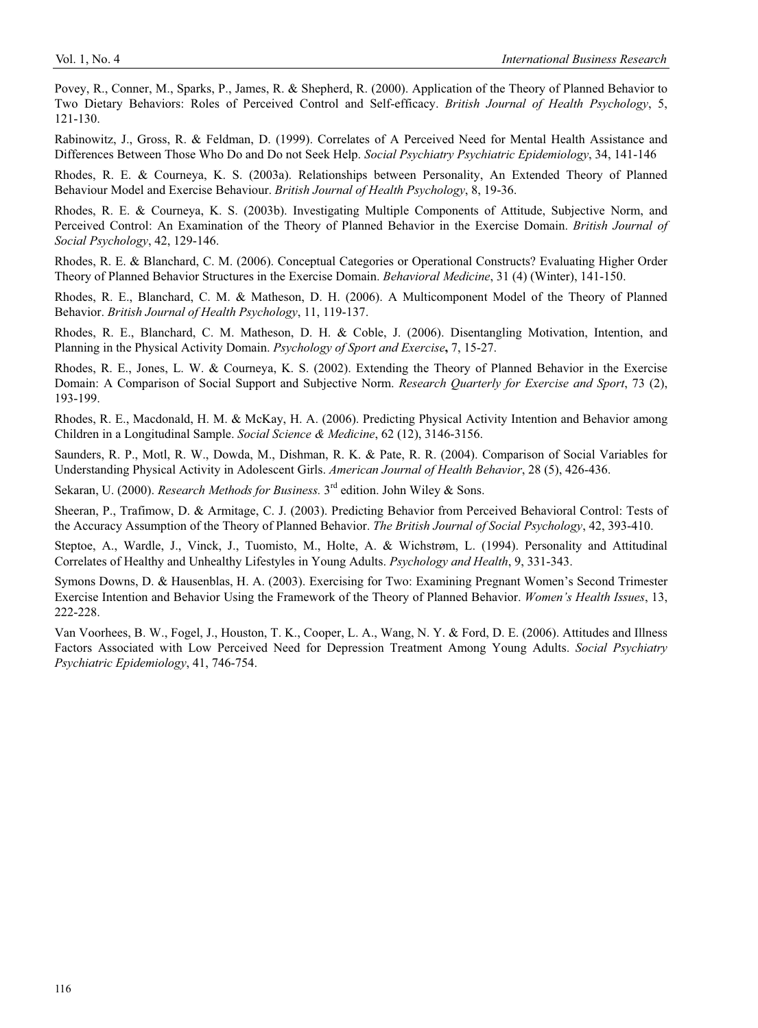Povey, R., Conner, M., Sparks, P., James, R. & Shepherd, R. (2000). Application of the Theory of Planned Behavior to Two Dietary Behaviors: Roles of Perceived Control and Self-efficacy. *British Journal of Health Psychology*, 5, 121-130.

Rabinowitz, J., Gross, R. & Feldman, D. (1999). Correlates of A Perceived Need for Mental Health Assistance and Differences Between Those Who Do and Do not Seek Help. *Social Psychiatry Psychiatric Epidemiology*, 34, 141-146

Rhodes, R. E. & Courneya, K. S. (2003a). Relationships between Personality, An Extended Theory of Planned Behaviour Model and Exercise Behaviour. *British Journal of Health Psychology*, 8, 19-36.

Rhodes, R. E. & Courneya, K. S. (2003b). Investigating Multiple Components of Attitude, Subjective Norm, and Perceived Control: An Examination of the Theory of Planned Behavior in the Exercise Domain. *British Journal of Social Psychology*, 42, 129-146.

Rhodes, R. E. & Blanchard, C. M. (2006). Conceptual Categories or Operational Constructs? Evaluating Higher Order Theory of Planned Behavior Structures in the Exercise Domain. *Behavioral Medicine*, 31 (4) (Winter), 141-150.

Rhodes, R. E., Blanchard, C. M. & Matheson, D. H. (2006). A Multicomponent Model of the Theory of Planned Behavior. *British Journal of Health Psychology*, 11, 119-137.

Rhodes, R. E., Blanchard, C. M. Matheson, D. H. & Coble, J. (2006). Disentangling Motivation, Intention, and Planning in the Physical Activity Domain. *Psychology of Sport and Exercise***,** 7, 15-27.

Rhodes, R. E., Jones, L. W. & Courneya, K. S. (2002). Extending the Theory of Planned Behavior in the Exercise Domain: A Comparison of Social Support and Subjective Norm. *Research Quarterly for Exercise and Sport*, 73 (2), 193-199.

Rhodes, R. E., Macdonald, H. M. & McKay, H. A. (2006). Predicting Physical Activity Intention and Behavior among Children in a Longitudinal Sample. *Social Science & Medicine*, 62 (12), 3146-3156.

Saunders, R. P., Motl, R. W., Dowda, M., Dishman, R. K. & Pate, R. R. (2004). Comparison of Social Variables for Understanding Physical Activity in Adolescent Girls. *American Journal of Health Behavior*, 28 (5), 426-436.

Sekaran, U. (2000). *Research Methods for Business*. 3<sup>rd</sup> edition. John Wiley & Sons.

Sheeran, P., Trafimow, D. & Armitage, C. J. (2003). Predicting Behavior from Perceived Behavioral Control: Tests of the Accuracy Assumption of the Theory of Planned Behavior. *The British Journal of Social Psychology*, 42, 393-410.

Steptoe, A., Wardle, J., Vinck, J., Tuomisto, M., Holte, A. & Wichstrøm, L. (1994). Personality and Attitudinal Correlates of Healthy and Unhealthy Lifestyles in Young Adults. *Psychology and Health*, 9, 331-343.

Symons Downs, D. & Hausenblas, H. A. (2003). Exercising for Two: Examining Pregnant Women's Second Trimester Exercise Intention and Behavior Using the Framework of the Theory of Planned Behavior. *Women's Health Issues*, 13, 222-228.

Van Voorhees, B. W., Fogel, J., Houston, T. K., Cooper, L. A., Wang, N. Y. & Ford, D. E. (2006). Attitudes and Illness Factors Associated with Low Perceived Need for Depression Treatment Among Young Adults. *Social Psychiatry Psychiatric Epidemiology*, 41, 746-754.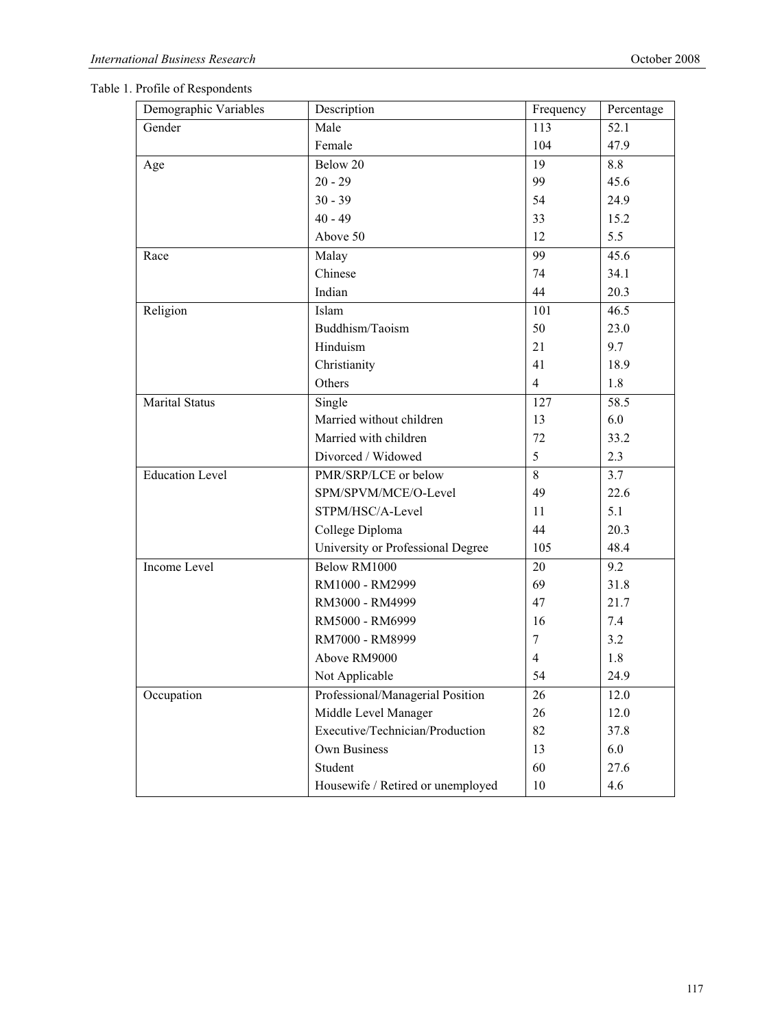|  |  | Table 1. Profile of Respondents |
|--|--|---------------------------------|
|--|--|---------------------------------|

| Demographic Variables  | Description                       | Frequency      | Percentage |
|------------------------|-----------------------------------|----------------|------------|
| Gender                 | Male                              | 113            | 52.1       |
|                        | Female                            | 104            | 47.9       |
| Age                    | Below 20                          | 19             | 8.8        |
|                        | $20 - 29$                         | 99             | 45.6       |
|                        | $30 - 39$                         | 54             | 24.9       |
|                        | $40 - 49$                         | 33             | 15.2       |
|                        | Above 50                          | 12             | 5.5        |
| Race                   | Malay                             | 99             | 45.6       |
|                        | Chinese                           | 74             | 34.1       |
|                        | Indian                            | 44             | 20.3       |
| Religion               | Islam                             | 101            | 46.5       |
|                        | Buddhism/Taoism                   | 50             | 23.0       |
|                        | Hinduism                          | 21             | 9.7        |
|                        | Christianity                      | 41             | 18.9       |
|                        | Others                            | 4              | 1.8        |
| <b>Marital Status</b>  | Single                            | 127            | 58.5       |
|                        | Married without children          | 13             | 6.0        |
|                        | Married with children             | 72             | 33.2       |
|                        | Divorced / Widowed                | 5              | 2.3        |
| <b>Education Level</b> | PMR/SRP/LCE or below              | 8              | 3.7        |
|                        | SPM/SPVM/MCE/O-Level              | 49             | 22.6       |
|                        | STPM/HSC/A-Level                  | 11             | 5.1        |
|                        | College Diploma                   | 44             | 20.3       |
|                        | University or Professional Degree | 105            | 48.4       |
| Income Level           | Below RM1000                      | 20             | 9.2        |
|                        | RM1000 - RM2999                   | 69             | 31.8       |
|                        | RM3000 - RM4999                   | 47             | 21.7       |
|                        | RM5000 - RM6999                   | 16             | 7.4        |
|                        | RM7000 - RM8999                   | $\tau$         | 3.2        |
|                        | Above RM9000                      | $\overline{4}$ | 1.8        |
|                        | Not Applicable                    | 54             | 24.9       |
| Occupation             | Professional/Managerial Position  | 26             | 12.0       |
|                        | Middle Level Manager              | 26             | 12.0       |
|                        | Executive/Technician/Production   | 82             | 37.8       |
|                        | Own Business                      | 13             | 6.0        |
|                        | Student                           | 60             | 27.6       |
|                        | Housewife / Retired or unemployed | $10\,$         | 4.6        |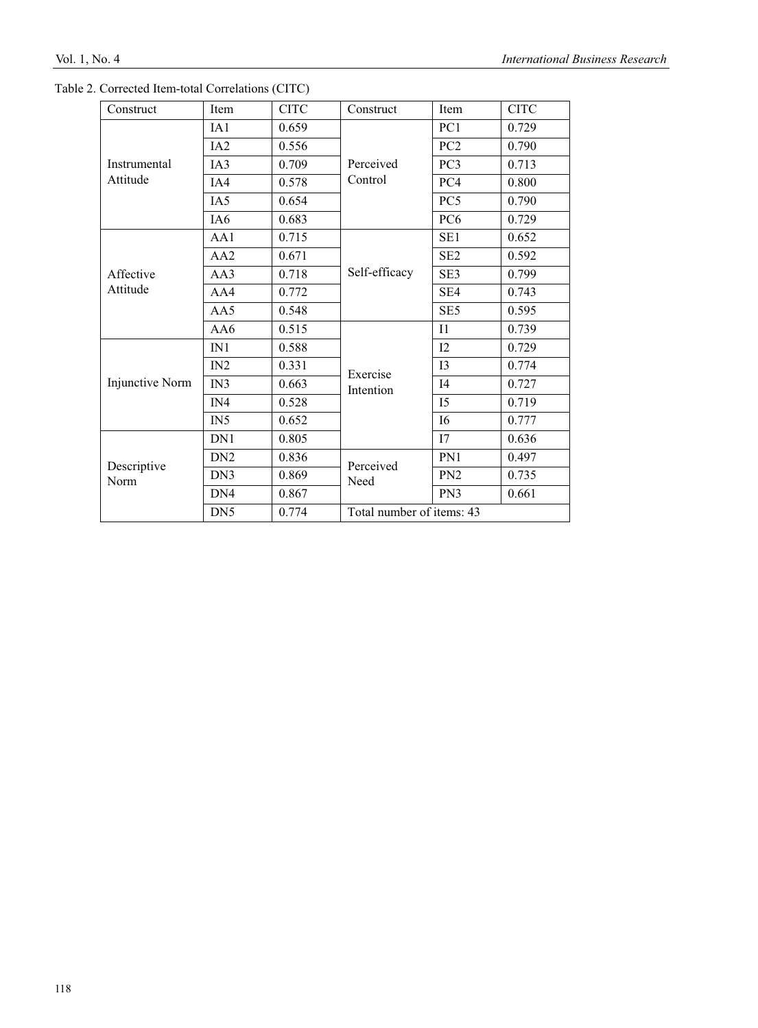| Construct                | Item            | <b>CITC</b> | Construct                 | Item            | <b>CITC</b> |
|--------------------------|-----------------|-------------|---------------------------|-----------------|-------------|
|                          | IA1             | 0.659       |                           | PC1             | 0.729       |
|                          | IA <sub>2</sub> | 0.556       |                           | PC <sub>2</sub> | 0.790       |
| Instrumental<br>Attitude | IA3             | 0.709       | Perceived                 | PC <sub>3</sub> | 0.713       |
|                          | IA4             | 0.578       | Control                   | PC <sub>4</sub> | 0.800       |
|                          | IA5             | 0.654       |                           | PC5             | 0.790       |
|                          | IA <sub>6</sub> | 0.683       |                           | PC <sub>6</sub> | 0.729       |
| Affective<br>Attitude    | AA1             | 0.715       |                           | SE <sub>1</sub> | 0.652       |
|                          | AA2             | 0.671       | Self-efficacy             | SE <sub>2</sub> | 0.592       |
|                          | AA3             | 0.718       |                           | SE <sub>3</sub> | 0.799       |
|                          | AA4             | 0.772       |                           | SE4             | 0.743       |
|                          | AA5             | 0.548       |                           | SE <sub>5</sub> | 0.595       |
|                          | AA6             | 0.515       |                           | I <sub>1</sub>  | 0.739       |
|                          | IN1             | 0.588       |                           | I2              | 0.729       |
|                          | IN2             | 0.331       | Exercise                  | 13              | 0.774       |
| Injunctive Norm          | IN3             | 0.663       | Intention                 | I <sub>4</sub>  | 0.727       |
|                          | IN4             | 0.528       |                           | I <sub>5</sub>  | 0.719       |
|                          | IN5             | 0.652       |                           | <b>I6</b>       | 0.777       |
|                          | DN1             | 0.805       |                           | I7              | 0.636       |
| Descriptive              | DN <sub>2</sub> | 0.836       | Perceived                 | PN1             | 0.497       |
| Norm                     | DN3             | 0.869       | Need                      | PN <sub>2</sub> | 0.735       |
|                          | DN <sub>4</sub> | 0.867       |                           | PN3             | 0.661       |
|                          | DN <sub>5</sub> | 0.774       | Total number of items: 43 |                 |             |
|                          |                 |             |                           |                 |             |

|  |  |  | Table 2. Corrected Item-total Correlations (CITC) |  |
|--|--|--|---------------------------------------------------|--|
|--|--|--|---------------------------------------------------|--|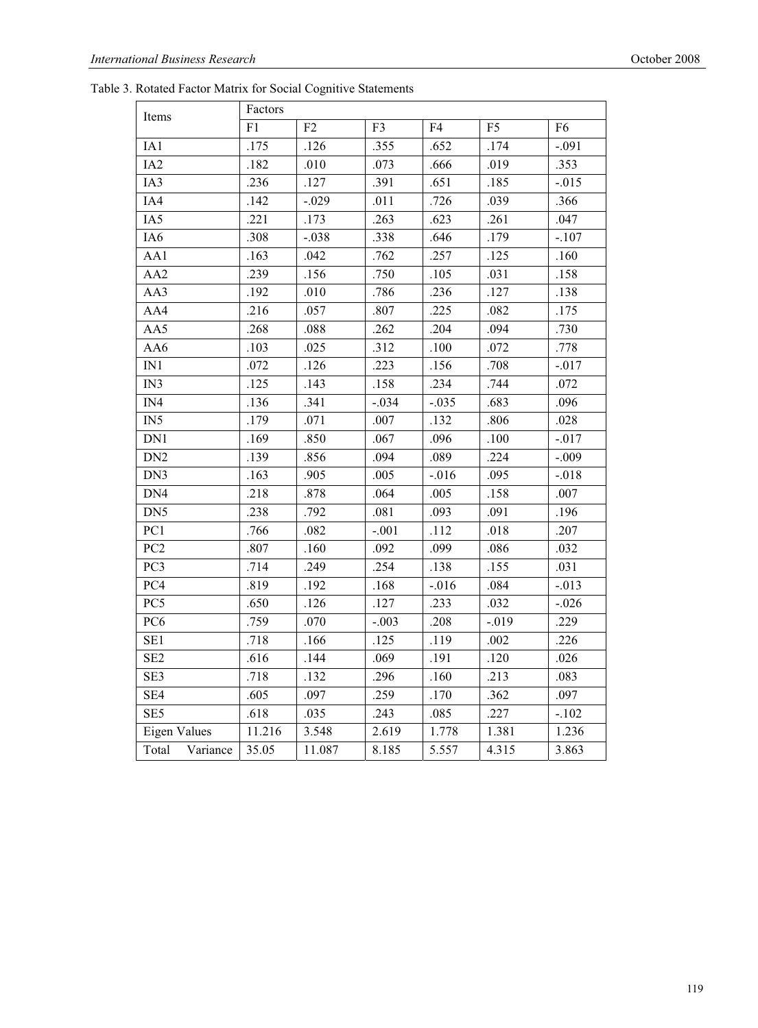Table 3. Rotated Factor Matrix for Social Cognitive Statements

| Items               | Factors |         |         |         |                |                |  |
|---------------------|---------|---------|---------|---------|----------------|----------------|--|
|                     | F1      | F2      | F3      | F4      | F <sub>5</sub> | F <sub>6</sub> |  |
| IA1                 | .175    | .126    | .355    | .652    | .174           | $-.091$        |  |
| IA <sub>2</sub>     | .182    | .010    | .073    | .666    | .019           | .353           |  |
| IA3                 | .236    | .127    | .391    | .651    | .185           | $-.015$        |  |
| IA4                 | .142    | $-.029$ | .011    | .726    | .039           | .366           |  |
| IA5                 | .221    | .173    | .263    | .623    | .261           | .047           |  |
| IA6                 | .308    | $-.038$ | .338    | .646    | .179           | $-.107$        |  |
| AA1                 | .163    | .042    | .762    | .257    | .125           | .160           |  |
| AA2                 | .239    | .156    | .750    | .105    | .031           | .158           |  |
| AA3                 | .192    | .010    | .786    | .236    | .127           | .138           |  |
| AA4                 | .216    | .057    | .807    | .225    | .082           | .175           |  |
| AA5                 | .268    | .088    | .262    | .204    | .094           | .730           |  |
| AA6                 | .103    | .025    | .312    | .100    | .072           | .778           |  |
| $\rm IN1$           | .072    | .126    | .223    | .156    | .708           | $-.017$        |  |
| IN3                 | .125    | .143    | .158    | .234    | .744           | .072           |  |
| IN4                 | .136    | .341    | $-.034$ | $-.035$ | .683           | .096           |  |
| IN5                 | .179    | .071    | .007    | .132    | .806           | .028           |  |
| DN1                 | .169    | .850    | .067    | .096    | .100           | $-.017$        |  |
| DN <sub>2</sub>     | .139    | .856    | .094    | .089    | .224           | $-.009$        |  |
| DN3                 | .163    | .905    | .005    | $-.016$ | .095           | $-.018$        |  |
| DN4                 | .218    | .878    | .064    | .005    | .158           | .007           |  |
| DN <sub>5</sub>     | .238    | .792    | .081    | .093    | .091           | .196           |  |
| PC1                 | .766    | .082    | $-.001$ | .112    | .018           | .207           |  |
| PC <sub>2</sub>     | .807    | .160    | .092    | .099    | .086           | .032           |  |
| PC3                 | .714    | .249    | .254    | .138    | .155           | .031           |  |
| PC4                 | .819    | .192    | .168    | $-.016$ | .084           | $-.013$        |  |
| PC5                 | .650    | .126    | .127    | .233    | .032           | $-.026$        |  |
| PC <sub>6</sub>     | .759    | .070    | $-.003$ | .208    | $-.019$        | .229           |  |
| SE <sub>1</sub>     | .718    | .166    | .125    | .119    | .002           | .226           |  |
| SE <sub>2</sub>     | .616    | .144    | .069    | .191    | .120           | .026           |  |
| SE3                 | .718    | .132    | .296    | .160    | .213           | .083           |  |
| SE <sub>4</sub>     | .605    | .097    | .259    | .170    | .362           | .097           |  |
| SE5                 | .618    | .035    | .243    | .085    | .227           | $-.102$        |  |
| <b>Eigen Values</b> | 11.216  | 3.548   | 2.619   | 1.778   | 1.381          | 1.236          |  |
| Total<br>Variance   | 35.05   | 11.087  | 8.185   | 5.557   | 4.315          | 3.863          |  |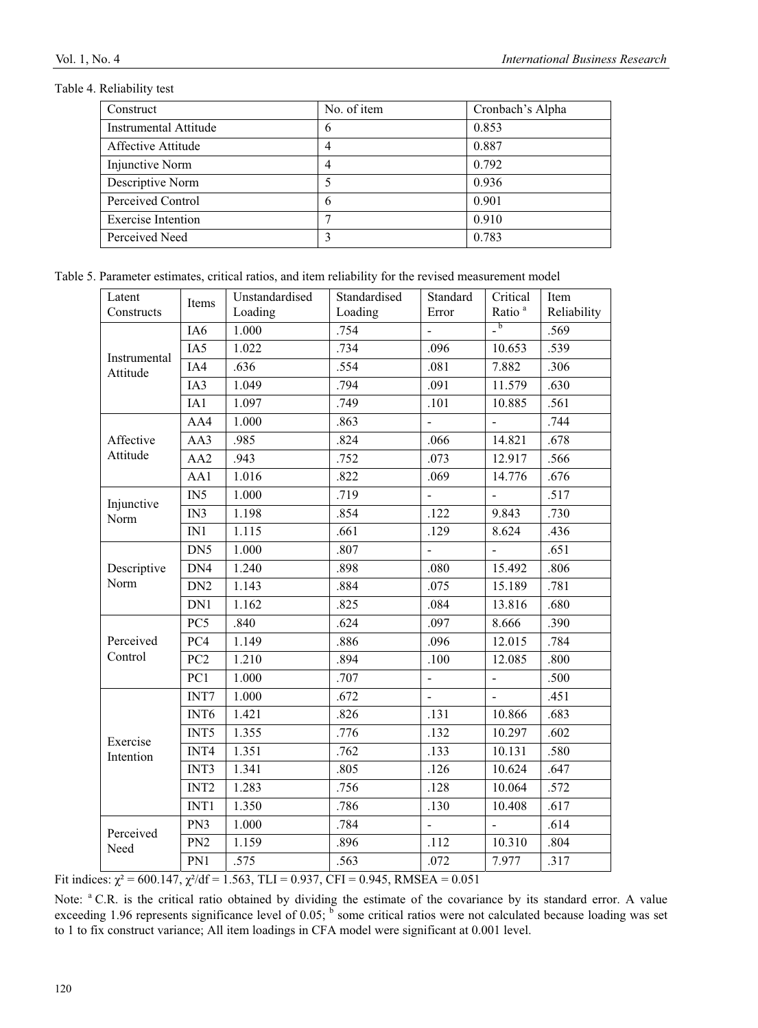#### Table 4. Reliability test

| Construct             | No. of item | Cronbach's Alpha |
|-----------------------|-------------|------------------|
| Instrumental Attitude | $\theta$    | 0.853            |
| Affective Attitude    | 4           | 0.887            |
| Injunctive Norm       | 4           | 0.792            |
| Descriptive Norm      |             | 0.936            |
| Perceived Control     | 6           | 0.901            |
| Exercise Intention    |             | 0.910            |
| Perceived Need        | 2           | 0.783            |

Table 5. Parameter estimates, critical ratios, and item reliability for the revised measurement model

| Latent                | Items            | Unstandardised | Standardised | Standard       | Critical                               | Item        |
|-----------------------|------------------|----------------|--------------|----------------|----------------------------------------|-------------|
| Constructs            |                  | Loading        | Loading      | Error          | Ratio <sup>a</sup>                     | Reliability |
|                       | IA6              | 1.000          | .754         |                | $\overline{\phantom{a}}^{\phantom{a}}$ | .569        |
| Instrumental          | IA5              | 1.022          | .734         | .096           | 10.653                                 | .539        |
| Attitude              | IA4              | .636           | .554         | .081           | 7.882                                  | .306        |
|                       | IA3              | 1.049          | .794         | .091           | 11.579                                 | .630        |
|                       | IA1              | 1.097          | .749         | .101           | 10.885                                 | .561        |
|                       | AA4              | 1.000          | .863         |                |                                        | .744        |
| Affective             | AA3              | .985           | .824         | .066           | 14.821                                 | .678        |
| Attitude              | AA <sub>2</sub>  | .943           | .752         | .073           | 12.917                                 | .566        |
|                       | AA1              | 1.016          | .822         | .069           | 14.776                                 | .676        |
|                       | IN5              | 1.000          | .719         | $\blacksquare$ | $\blacksquare$                         | .517        |
| Injunctive<br>Norm    | IN3              | 1.198          | .854         | .122           | 9.843                                  | .730        |
|                       | $\rm IN1$        | 1.115          | .661         | .129           | 8.624                                  | .436        |
|                       | DN5              | 1.000          | .807         | ä,             | $\overline{a}$                         | .651        |
| Descriptive           | DN4              | 1.240          | .898         | .080           | 15.492                                 | .806        |
| Norm                  | DN <sub>2</sub>  | 1.143          | .884         | .075           | 15.189                                 | .781        |
|                       | DN1              | 1.162          | .825         | .084           | 13.816                                 | .680        |
|                       | PC5              | .840           | .624         | .097           | 8.666                                  | .390        |
| Perceived             | PC4              | 1.149          | .886         | .096           | 12.015                                 | .784        |
| Control               | PC <sub>2</sub>  | 1.210          | .894         | .100           | 12.085                                 | .800        |
|                       | PC1              | 1.000          | .707         |                |                                        | .500        |
|                       | INT7             | 1.000          | .672         | $\Box$         | $\blacksquare$                         | .451        |
|                       | INT <sub>6</sub> | 1.421          | .826         | .131           | 10.866                                 | .683        |
|                       | INT5             | 1.355          | .776         | .132           | 10.297                                 | .602        |
| Exercise<br>Intention | INT4             | 1.351          | .762         | .133           | 10.131                                 | .580        |
|                       | INT3             | 1.341          | .805         | .126           | 10.624                                 | .647        |
|                       | INT <sub>2</sub> | 1.283          | .756         | .128           | 10.064                                 | .572        |
|                       | INT1             | 1.350          | .786         | .130           | 10.408                                 | .617        |
|                       | PN3              | 1.000          | .784         | $\overline{a}$ | $\overline{a}$                         | .614        |
| Perceived<br>Need     | PN <sub>2</sub>  | 1.159          | .896         | .112           | 10.310                                 | .804        |
|                       |                  | .575           | .563         | .072           | 7.977                                  | .317        |

Fit indices:  $\chi^2 = 600.147$ ,  $\chi^2/df = 1.563$ , TLI = 0.937, CFI = 0.945, RMSEA = 0.051

Note: <sup>a</sup> C.R. is the critical ratio obtained by dividing the estimate of the covariance by its standard error. A value exceeding 1.96 represents significance level of 0.05;  $<sup>b</sup>$  some critical ratios were not calculated because loading was set</sup> to 1 to fix construct variance; All item loadings in CFA model were significant at 0.001 level.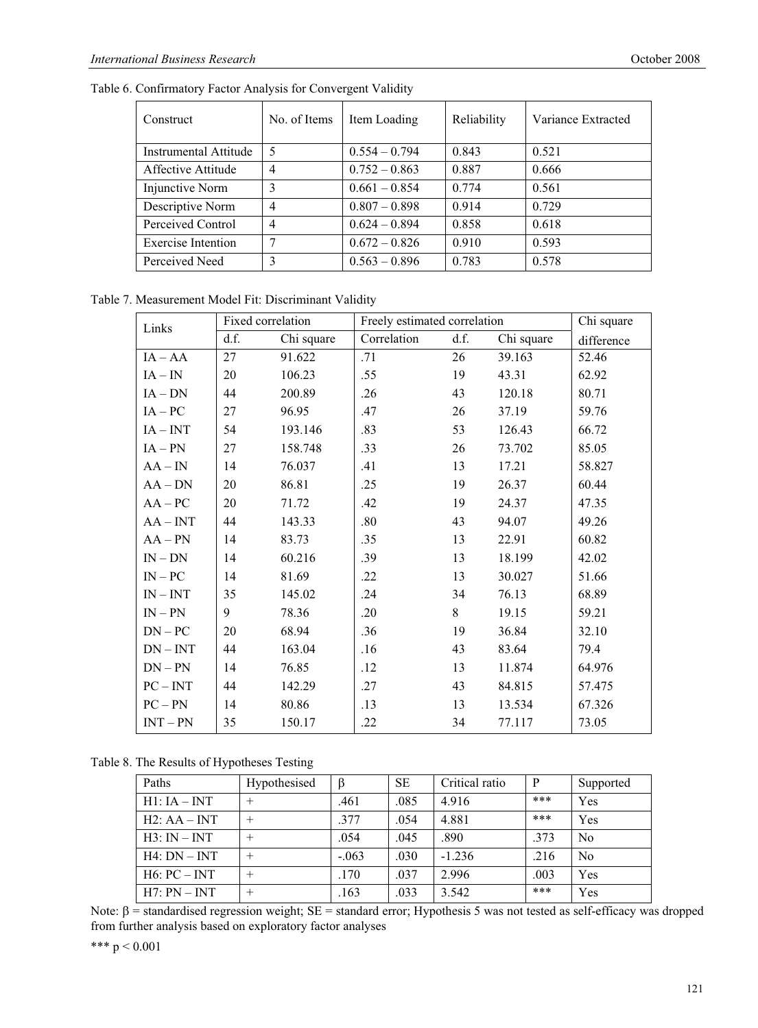Table 6. Confirmatory Factor Analysis for Convergent Validity

| Construct                 | No. of Items   | Item Loading    | Reliability | Variance Extracted |
|---------------------------|----------------|-----------------|-------------|--------------------|
| Instrumental Attitude     | 5              | $0.554 - 0.794$ | 0.843       | 0.521              |
| Affective Attitude        | $\overline{4}$ | $0.752 - 0.863$ | 0.887       | 0.666              |
| Injunctive Norm           | 3              | $0.661 - 0.854$ | 0.774       | 0.561              |
| Descriptive Norm          | 4              | $0.807 - 0.898$ | 0.914       | 0.729              |
| Perceived Control         | 4              | $0.624 - 0.894$ | 0.858       | 0.618              |
| <b>Exercise Intention</b> | ┑              | $0.672 - 0.826$ | 0.910       | 0.593              |
| Perceived Need            | 3              | $0.563 - 0.896$ | 0.783       | 0.578              |

Table 7. Measurement Model Fit: Discriminant Validity

| Links       | Fixed correlation |            |             | Freely estimated correlation |            |            |
|-------------|-------------------|------------|-------------|------------------------------|------------|------------|
|             | d.f.              | Chi square | Correlation | d.f.                         | Chi square | difference |
| $IA - AA$   | 27                | 91.622     | .71         | 26                           | 39.163     | 52.46      |
| $IA - IN$   | 20                | 106.23     | .55         | 19                           | 43.31      | 62.92      |
| $IA - DN$   | 44                | 200.89     | .26         | 43                           | 120.18     | 80.71      |
| $IA-PC$     | 27                | 96.95      | .47         | 26                           | 37.19      | 59.76      |
| $IA - INT$  | 54                | 193.146    | .83         | 53                           | 126.43     | 66.72      |
| $IA - PN$   | 27                | 158.748    | .33         | 26                           | 73.702     | 85.05      |
| $AA - IN$   | 14                | 76.037     | .41         | 13                           | 17.21      | 58.827     |
| $AA$ – $DN$ | 20                | 86.81      | .25         | 19                           | 26.37      | 60.44      |
| $AA-PC$     | 20                | 71.72      | .42         | 19                           | 24.37      | 47.35      |
| $AA - INT$  | 44                | 143.33     | .80         | 43                           | 94.07      | 49.26      |
| $AA - PN$   | 14                | 83.73      | .35         | 13                           | 22.91      | 60.82      |
| $IN$ – $DN$ | 14                | 60.216     | .39         | 13                           | 18.199     | 42.02      |
| $IN-PC$     | 14                | 81.69      | .22         | 13                           | 30.027     | 51.66      |
| $IN - INT$  | 35                | 145.02     | .24         | 34                           | 76.13      | 68.89      |
| $IN - PN$   | 9                 | 78.36      | .20         | 8                            | 19.15      | 59.21      |
| $DN-PC$     | 20                | 68.94      | .36         | 19                           | 36.84      | 32.10      |
| $DN - INT$  | 44                | 163.04     | .16         | 43                           | 83.64      | 79.4       |
| $DN - PN$   | 14                | 76.85      | .12         | 13                           | 11.874     | 64.976     |
| $PC - INT$  | 44                | 142.29     | .27         | 43                           | 84.815     | 57.475     |
| $PC - PN$   | 14                | 80.86      | .13         | 13                           | 13.534     | 67.326     |
| $INT - PN$  | 35                | 150.17     | .22         | 34                           | 77.117     | 73.05      |

Table 8. The Results of Hypotheses Testing

| Paths          | Hypothesised | ß       | <b>SE</b> | Critical ratio | P    | Supported      |
|----------------|--------------|---------|-----------|----------------|------|----------------|
| $H1:IA-INT$    | $\pm$        | .461    | .085      | 4.916          | ***  | Yes            |
| $H2:AA-INT$    | $^{+}$       | .377    | .054      | 4.881          | ***  | Yes            |
| $H3: IN-INT$   | $\pm$        | .054    | .045      | .890           | .373 | No             |
| $H4: DN - INT$ | $^{+}$       | $-.063$ | .030      | $-1.236$       | .216 | N <sub>0</sub> |
| H6: PC – INT   | $\pm$        | .170    | .037      | 2.996          | .003 | Yes            |
| $H7: PN - INT$ |              | .163    | .033      | 3.542          | ***  | Yes            |

Note:  $\beta$  = standardised regression weight; SE = standard error; Hypothesis 5 was not tested as self-efficacy was dropped from further analysis based on exploratory factor analyses